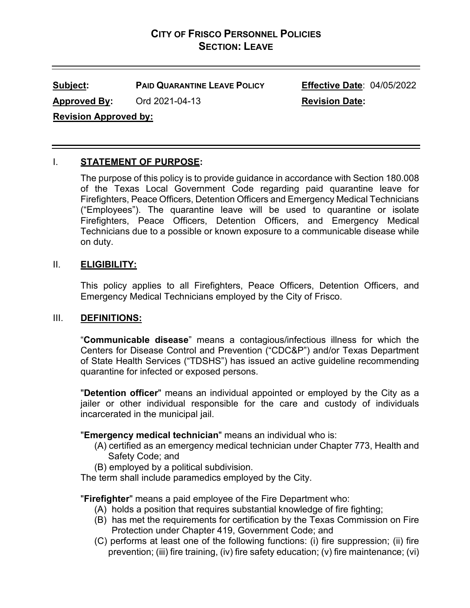# **CITY OF FRISCO PERSONNEL POLICIES SECTION: LEAVE**

**Subject: PAID QUARANTINE LEAVE POLICY Effective Date**: 04/05/2022

Approved By: Ord 2021-04-13 Revision Date:

**Revision Approved by:**

## I. **STATEMENT OF PURPOSE:**

The purpose of this policy is to provide guidance in accordance with Section 180.008 of the Texas Local Government Code regarding paid quarantine leave for Firefighters, Peace Officers, Detention Officers and Emergency Medical Technicians ("Employees"). The quarantine leave will be used to quarantine or isolate Firefighters, Peace Officers, Detention Officers, and Emergency Medical Technicians due to a possible or known exposure to a communicable disease while on duty.

## II. **ELIGIBILITY:**

This policy applies to all Firefighters, Peace Officers, Detention Officers, and Emergency Medical Technicians employed by the City of Frisco.

## III. **DEFINITIONS:**

"**Communicable disease**" means a contagious/infectious illness for which the Centers for Disease Control and Prevention ("CDC&P") and/or Texas Department of State Health Services ("TDSHS") has issued an active guideline recommending quarantine for infected or exposed persons.

"**Detention officer**" means an individual appointed or employed by the City as a jailer or other individual responsible for the care and custody of individuals incarcerated in the municipal jail.

## "**Emergency medical technician**" means an individual who is:

- (A) certified as an emergency medical technician under Chapter 773, Health and Safety Code; and
- (B) employed by a political subdivision.

The term shall include paramedics employed by the City.

"**Firefighter**" means a paid employee of the Fire Department who:

- (A) holds a position that requires substantial knowledge of fire fighting;
- (B) has met the requirements for certification by the Texas Commission on Fire Protection under Chapter 419, Government Code; and
- (C) performs at least one of the following functions: (i) fire suppression; (ii) fire prevention; (iii) fire training, (iv) fire safety education; (v) fire maintenance; (vi)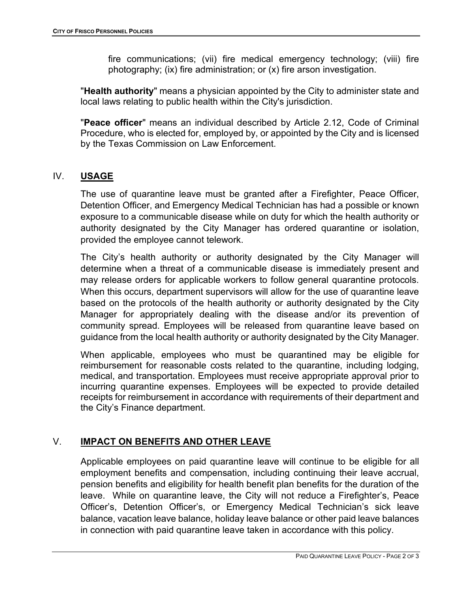fire communications; (vii) fire medical emergency technology; (viii) fire photography; (ix) fire administration; or (x) fire arson investigation.

"**Health authority**" means a physician appointed by the City to administer state and local laws relating to public health within the City's jurisdiction.

"**Peace officer**" means an individual described by Article 2.12, Code of Criminal Procedure, who is elected for, employed by, or appointed by the City and is licensed by the Texas Commission on Law Enforcement.

## IV. **USAGE**

The use of quarantine leave must be granted after a Firefighter, Peace Officer, Detention Officer, and Emergency Medical Technician has had a possible or known exposure to a communicable disease while on duty for which the health authority or authority designated by the City Manager has ordered quarantine or isolation, provided the employee cannot telework.

The City's health authority or authority designated by the City Manager will determine when a threat of a communicable disease is immediately present and may release orders for applicable workers to follow general quarantine protocols. When this occurs, department supervisors will allow for the use of quarantine leave based on the protocols of the health authority or authority designated by the City Manager for appropriately dealing with the disease and/or its prevention of community spread. Employees will be released from quarantine leave based on guidance from the local health authority or authority designated by the City Manager.

When applicable, employees who must be quarantined may be eligible for reimbursement for reasonable costs related to the quarantine, including lodging, medical, and transportation. Employees must receive appropriate approval prior to incurring quarantine expenses. Employees will be expected to provide detailed receipts for reimbursement in accordance with requirements of their department and the City's Finance department.

## V. **IMPACT ON BENEFITS AND OTHER LEAVE**

Applicable employees on paid quarantine leave will continue to be eligible for all employment benefits and compensation, including continuing their leave accrual, pension benefits and eligibility for health benefit plan benefits for the duration of the leave. While on quarantine leave, the City will not reduce a Firefighter's, Peace Officer's, Detention Officer's, or Emergency Medical Technician's sick leave balance, vacation leave balance, holiday leave balance or other paid leave balances in connection with paid quarantine leave taken in accordance with this policy.